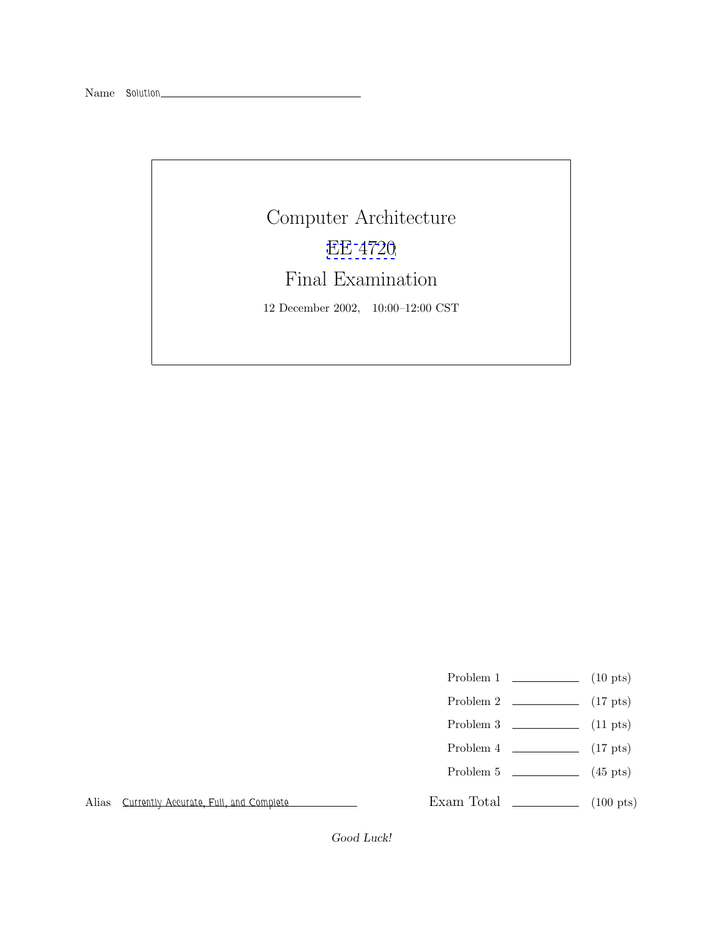## Computer Architecture [EE 4720](http://www.ece.lsu.edu/ee4720/) Final Examination 12 December 2002, 10:00–12:00 CST

- Problem 1  $\qquad \qquad (10 \text{ pts})$
- Problem 2 (17 pts)
- Problem 3  $\qquad \qquad (11 \text{ pts})$
- Problem  $4 \t\t(17 \text{ pts})$
- Problem 5  $\qquad \qquad$  (45 pts)

Exam Total \_\_\_\_\_\_\_\_\_\_\_\_\_ (100 pts)

Alias *Currently Accurate, Full, and Complete*

*Good Luck!*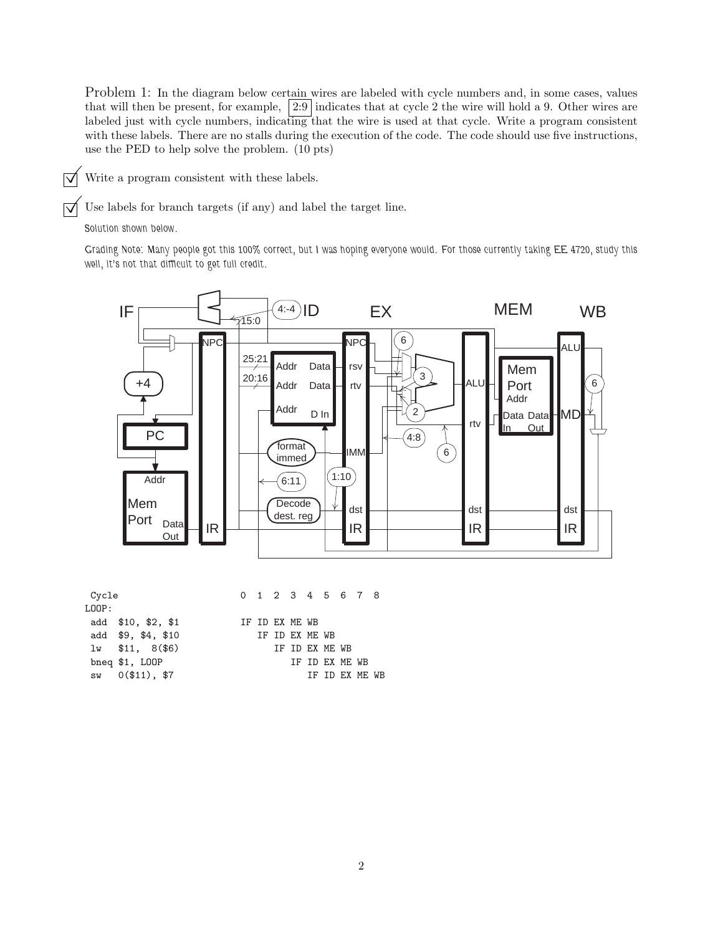Problem 1: In the diagram below certain wires are labeled with cycle numbers and, in some cases, values that will then be present, for example,  $\left|2:9\right|$  indicates that at cycle 2 the wire will hold a 9. Other wires are labeled just with cycle numbers, indicating that the wire is used at that cycle. Write a program consistent with these labels. There are no stalls during the execution of the code. The code should use five instructions, use the PED to help solve the problem. (10 pts)

 $\triangledown$  Write a program consistent with these labels.

 $\overrightarrow{\mathcal{A}}$  Use labels for branch targets (if any) and label the target line.

*Solution shown below.*

*Grading Note: Many people got this 100% correct, but I was hoping everyone would. For those currently taking EE 4720, study this well, it's not that difficult to get full credit.*



| Cycle             |                      |  |                | 0 1 2 3 4 5 6 7 8 |  |                |  |
|-------------------|----------------------|--|----------------|-------------------|--|----------------|--|
| $\texttt{LOOP}$ : |                      |  |                |                   |  |                |  |
|                   | add \$10, \$2, \$1   |  | IF ID EX ME WB |                   |  |                |  |
|                   | add \$9, \$4, \$10   |  |                | IF ID EX ME WB    |  |                |  |
|                   | $1w$ \$11, 8(\$6)    |  |                | IF ID EX ME WB    |  |                |  |
|                   | bneq \$1, LOOP       |  |                | TF TD FX MF WB    |  |                |  |
|                   | $sw = 0$ (\$11), \$7 |  |                |                   |  | TF TD FX MF WB |  |
|                   |                      |  |                |                   |  |                |  |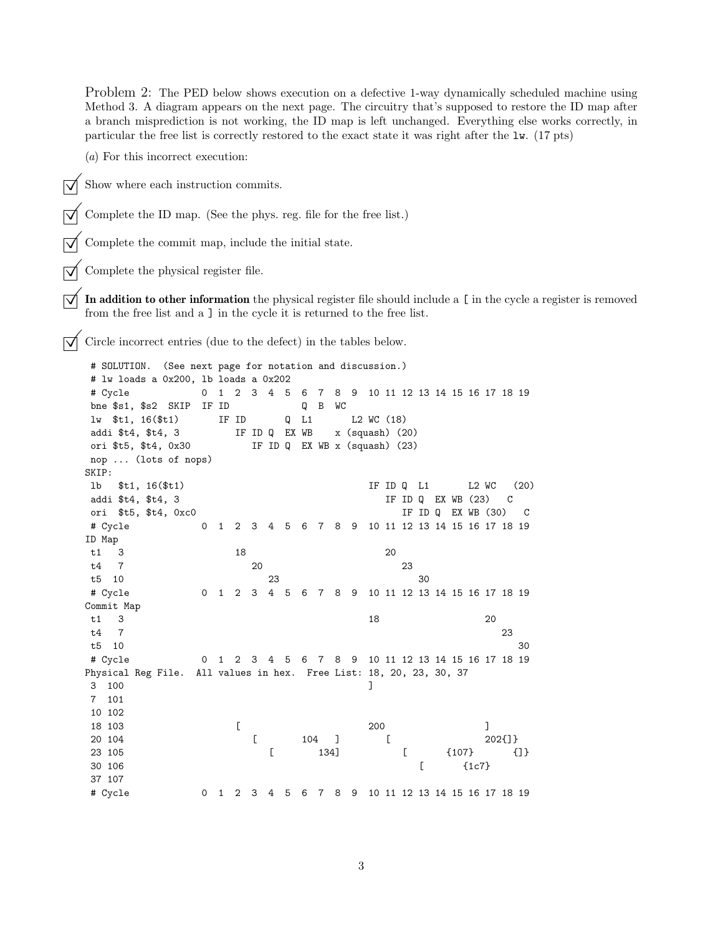Problem 2: The PED below shows execution on a defective 1-way dynamically scheduled machine using Method 3. A diagram appears on the next page. The circuitry that's supposed to restore the ID map after a branch misprediction is not working, the ID map is left unchanged. Everything else works correctly, in particular the free list is correctly restored to the exact state it was right after the lw. (17 pts) (a) For this incorrect execution:  $\triangledown$  Show where each instruction commits. ©Complete the ID map. (See the phys. reg. file for the free list.) ©Complete the commit map, include the initial state. ©Complete the physical register file. ©**In addition to other information** the physical register file should include a [ in the cycle a register is removed from the free list and a ] in the cycle it is returned to the free list.  $\triangledown$  Circle incorrect entries (due to the defect) in the tables below. # SOLUTION. (See next page for notation and discussion.) # lw loads a 0x200, lb loads a 0x202 # Cycle 0 1 2 3 4 5 6 7 8 9 10 11 12 13 14 15 16 17 18 19 bne \$s1, \$s2 SKIP IF ID Q B WC lw \$t1, 16(\$t1) IF ID Q L1 L2 WC (18) addi \$t4, \$t4, 3 IF ID Q EX WB x (squash) (20) ori \$t5, \$t4, 0x30 IF ID Q EX WB x (squash) (23) nop ... (lots of nops) SKIP: lb \$t1, 16(\$t1) IF ID Q L1 L2 WC (20) addi \$t4, \$t4, 3 IF ID Q EX WB (23) C ori \$t5, \$t4, 0xc0 IF ID Q EX WB (30) C # Cycle 0 1 2 3 4 5 6 7 8 9 10 11 12 13 14 15 16 17 18 19 ID Map t1 3 18 20 t4 7 20 23 t5 10 23 30 # Cycle 0 1 2 3 4 5 6 7 8 9 10 11 12 13 14 15 16 17 18 19 Commit Map t1 3 20 t<sup>4</sup>  $7$  23 t5 10  $\,$  30 # Cycle 0 1 2 3 4 5 6 7 8 9 10 11 12 13 14 15 16 17 18 19 Physical Reg File. All values in hex. Free List: 18, 20, 23, 30, 37 3 100 ] 7 101 10 102 18 103 [ 200 ] 20 104 **[** 104 ] [ 202{]} 23 105 [ 134] [  $\{107\}$  {]  $30 \t106$  [  $\{1c7\}$ 37 107 # Cycle 0 1 2 3 4 5 6 7 8 9 10 11 12 13 14 15 16 17 18 19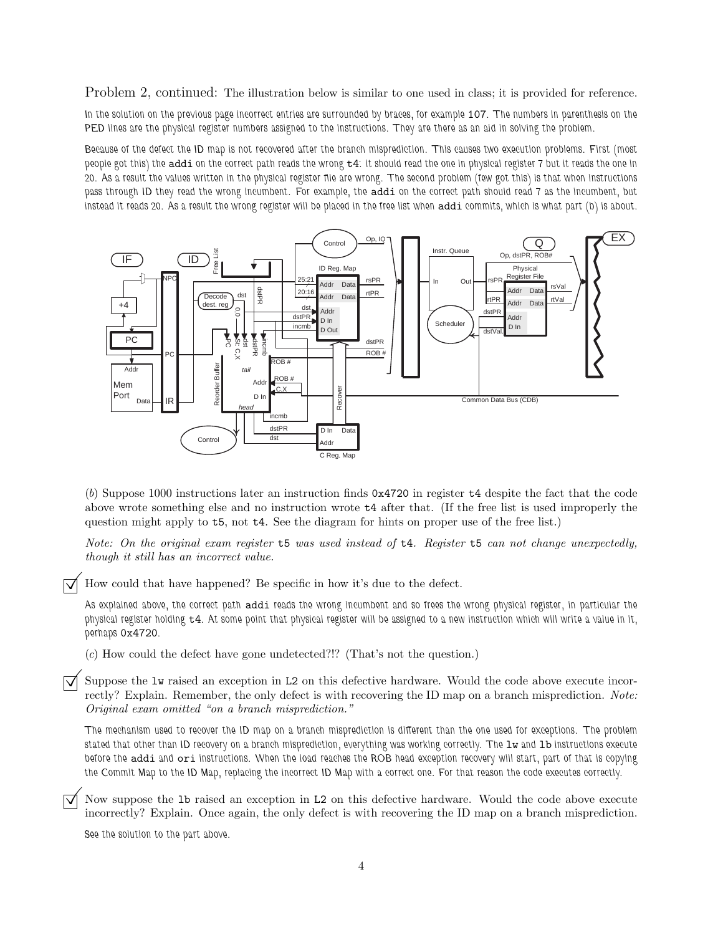Problem 2, continued: The illustration below is similar to one used in class; it is provided for reference.

In the solution on the previous page incorrect entries are surrounded by braces, for example 107. The numbers in parenthesis on the *PED lines are the physical register numbers assigned to the instructions. They are there as an aid in solving the problem.*

*Because of the defect the ID map is not recovered after the branch misprediction. This causes two execution problems. First (most people got this) the* addi *on the correct path reads the wrong* t4*: it should read the one in physical register 7 but it reads the one in 20. As a result the values written in the physical register file are wrong. The second problem (few got this) is that when instructions pass through ID they read the wrong incumbent. For example, the* addi *on the correct path should read 7 as the incumbent, but instead it reads 20. As a result the wrong register will be placed in the free list when* addi *commits, which is what part (b) is about.*



(b) Suppose 1000 instructions later an instruction finds 0x4720 in register t4 despite the fact that the code above wrote something else and no instruction wrote t4 after that. (If the free list is used improperly the question might apply to t5, not t4. See the diagram for hints on proper use of the free list.)

Note: On the original exam register t5 was used instead of t4. Register t5 can not change unexpectedly, though it still has an incorrect value.

 $\triangledown$  How could that have happened? Be specific in how it's due to the defect.

*As explained above, the correct path* addi *reads the wrong incumbent and so frees the wrong physical register, in particular the physical register holding* t4*. At some point that physical register will be assigned to a new instruction which will write a value in it, perhaps* 0x4720*.*

(c) How could the defect have gone undetected?!? (That's not the question.)

 $\overline{\triangleleft}$  Suppose the 1w raised an exception in L2 on this defective hardware. Would the code above execute incorrectly? Explain. Remember, the only defect is with recovering the ID map on a branch misprediction. Note: Original exam omitted "on a branch misprediction."

*The mechanism used to recover the ID map on a branch misprediction is different than the one used for exceptions. The problem* stated that other than ID recovery on a branch misprediction, everything was working correctly. The 1w and 1b instructions execute *before the* addi *and* ori *instructions. When the load reaches the ROB head exception recovery will start, part of that is copying the Commit Map to the ID Map, replacing the incorrect ID Map with a correct one. For that reason the code executes correctly.*

© Now suppose the lb raised an exception in L2 on this defective hardware. Would the code above execute incorrectly? Explain. Once again, the only defect is with recovering the ID map on a branch misprediction.

*See the solution to the part above.*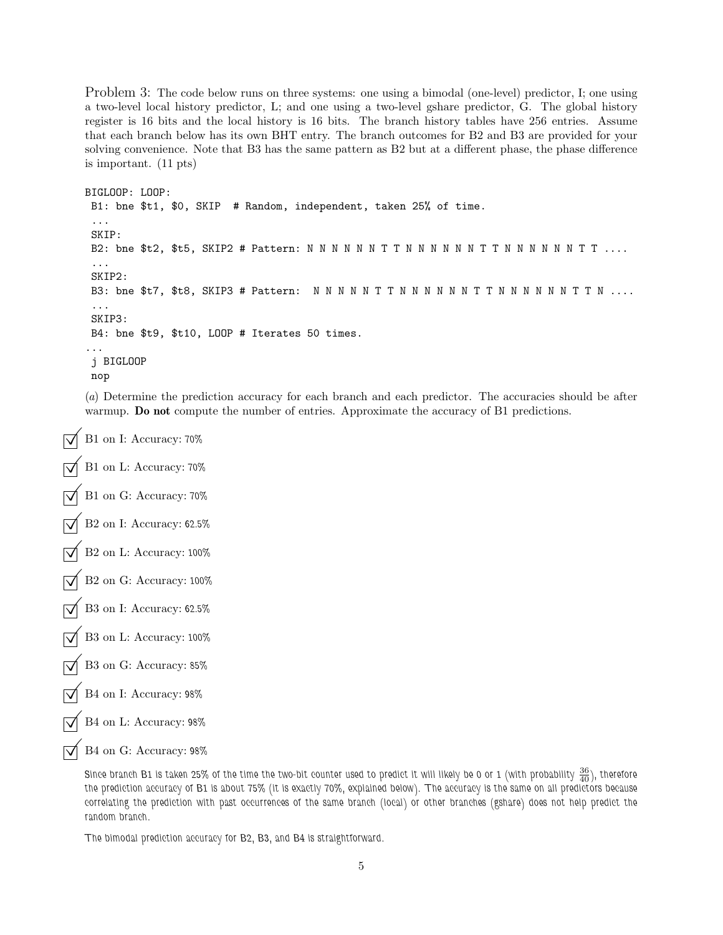Problem 3: The code below runs on three systems: one using a bimodal (one-level) predictor, I; one using a two-level local history predictor, L; and one using a two-level gshare predictor, G. The global history register is 16 bits and the local history is 16 bits. The branch history tables have 256 entries. Assume that each branch below has its own BHT entry. The branch outcomes for B2 and B3 are provided for your solving convenience. Note that B3 has the same pattern as B2 but at a different phase, the phase difference is important. (11 pts)

```
BIGLOOP: LOOP:
B1: bne $t1, $0, SKIP # Random, independent, taken 25% of time.
 ...
SKIP:
B2: bne $t2, $t5, SKIP2 # Pattern: N N N N NNTTNNNNNNTTNNNNNNTT ....
 ...
SKIP2:
B3: bne $t7, $t8, SKIP3 # Pattern: NNNNNTTNNNNNNTTNNNNNNTTN ....
 ...
SKIP3:
B4: bne $t9, $t10, LOOP # Iterates 50 times.
...
j BIGLOOP
nop
```
(a) Determine the prediction accuracy for each branch and each predictor. The accuracies should be after warmup. **Do not** compute the number of entries. Approximate the accuracy of B1 predictions.

©B1 on I: Accuracy: *70%* ©B1 on L: Accuracy: *70%* ©B1 on G: Accuracy: *70%* ©B2 on I: Accuracy: *62.5%* ©B2 on L: Accuracy: *100%* ©B2 on G: Accuracy: *100%* ©B3 on I: Accuracy: *62.5%* ©B3 on L: Accuracy: *100%* ©B3 on G: Accuracy: *85%* ©B4 on I: Accuracy: *98%* ©B4 on L: Accuracy: *98%* ©B4 on G: Accuracy: *98%*

> Since branch B1 is taken 25% of the time the two-bit counter used to predict it will likely be 0 or 1 (with probability  $\frac{36}{40}$ ), therefore *the prediction accuracy of B1 is about 75% (it is exactly 70%, explained below). The accuracy is the same on all predictors because correlating the prediction with past occurrences of the same branch (local) or other branches (gshare) does not help predict the random branch.*

*The bimodal prediction accuracy for B2, B3, and B4 is straightforward.*

```
5
```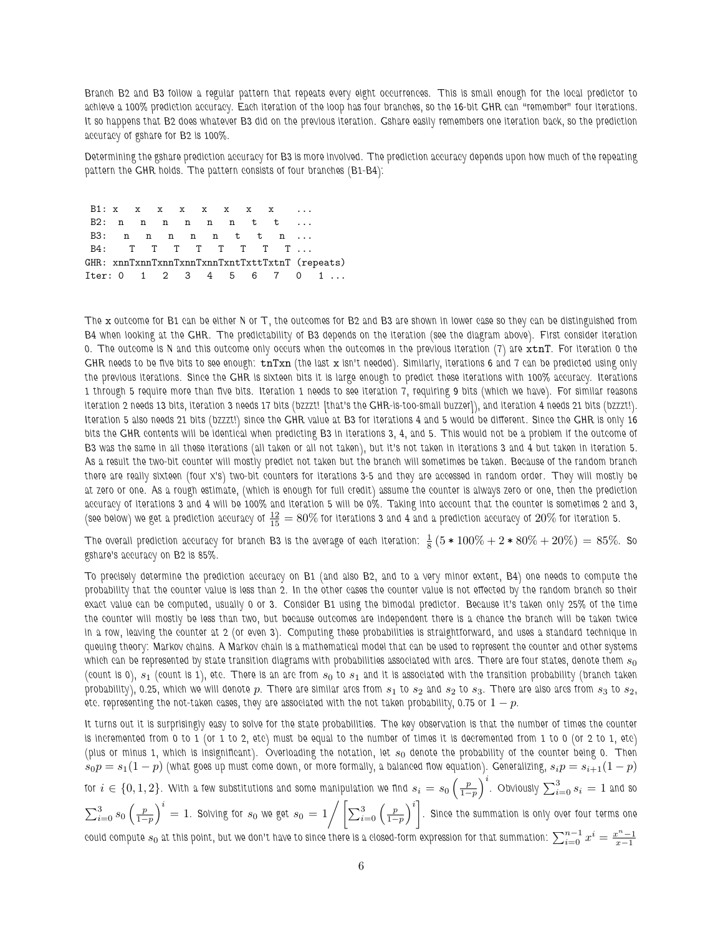*Branch B2 and B3 follow a regular pattern that repeats every eight occurrences. This is small enough for the local predictor to achieve a 100% prediction accuracy. Each iteration of the loop has four branches, so the 16-bit GHR can "remember" four iterations. It so happens that B2 does whatever B3 did on the previous iteration. Gshare easily remembers one iteration back, so the prediction accuracy of gshare for B2 is 100%.*

*Determining the gshare prediction accuracy for B3 is more involved. The prediction accuracy depends upon how much of the repeating pattern the GHR holds. The pattern consists of four branches (B1-B4):*

B1: x x x x x x x x  $B2: n n n n n n t t$ B3: n n n n n t t n ... B4: T T T T T T T T ... GHR: xnnTxnnTxnnTxnnTxnnTxntTxttTxtnT (repeats) Iter: 0 1 2 3 4 5 6 7 0 1...

*The* x *outcome for B1 can be either N or T, the outcomes for B2 and B3 are shown in lower case so they can be distinguished from B4 when looking at the GHR. The predictability of B3 depends on the iteration (see the diagram above). First consider iteration 0. The outcome is N and this outcome only occurs when the outcomes in the previous iteration (7) are* xtnT*. For iteration 0 the GHR needs to be five bits to see enough:* tnTxn *(the last* x *isn't needed). Similarly, iterations 6 and 7 can be predicted using only the previous iterations. Since the GHR is sixteen bits it is large enough to predict these iterations with 100% accuracy. Iterations 1 through 5 require more than five bits. Iteration 1 needs to see iteration 7, requiring 9 bits (which we have). For similar reasons iteration 2 needs 13 bits, iteration 3 needs 17 bits (bzzzt! [that's the GHR-is-too-small buzzer]), and iteration 4 needs 21 bits (bzzzt!). Iteration 5 also needs 21 bits (bzzzt!) since the GHR value at B3 for iterations 4 and 5 would be different. Since the GHR is only 16 bits the GHR contents will be identical when predicting B3 in iterations 3, 4, and 5. This would not be a problem if the outcome of B3 was the same in all these iterations (all taken or all not taken), but it's not taken in iterations 3 and 4 but taken in iteration 5. As a result the two-bit counter will mostly predict not taken but the branch will sometimes be taken. Because of the random branch there are really sixteen (four x's) two-bit counters for iterations 3-5 and they are accessed in random order. They will mostly be at zero or one. As a rough estimate, (which is enough for full credit) assume the counter is always zero or one, then the prediction accuracy of iterations 3 and 4 will be 100% and iteration 5 will be 0%. Taking into account that the counter is sometimes 2 and 3,* (see below) we get a prediction accuracy of  $\frac{12}{15} = 80\%$  for iterations 3 and 4 and a prediction accuracy of  $20\%$  for iteration 5.

The overall prediction accuracy for branch B3 is the average of each iteration:  $\frac{1}{8}$  (5 \*  $100\% + 2*80\% + 20\%) = 85\%$ . So *gshare's accuracy on B2 is 85%.*

*To precisely determine the prediction accuracy on B1 (and also B2, and to a very minor extent, B4) one needs to compute the probability that the counter value is less than 2. In the other cases the counter value is not effected by the random branch so their exact value can be computed, usually 0 or 3. Consider B1 using the bimodal predictor. Because it's taken only 25% of the time the counter will mostly be less than two, but because outcomes are independent there is a chance the branch will be taken twice in a row, leaving the counter at 2 (or even 3). Computing these probabilities is straightforward, and uses a standard technique in queuing theory: Markov chains. A Markov chain is a mathematical model that can be used to represent the counter and other systems* which can be represented by state transition diagrams with probabilities associated with arcs. There are four states, denote them  $s_0$ *(count is 0),*  $s_1$  *(count is 1), etc. There is an arc from*  $s_0$  to  $s_1$  and it is associated with the transition probability (branch taken probability), 0.25, which we will denote p. There are similar arcs from  $s_1$  to  $s_2$  and  $s_2$  to  $s_3$ . There are also arcs from  $s_3$  to  $s_{2_1}$ *etc. representing the not-taken cases, they are associated with the not taken probability, 0.75 or*  $1 - p$ *.* 

*It turns out it is surprisingly easy to solve for the state probabilities. The key observation is that the number of times the counter is incremented from 0 to 1 (or 1 to 2, etc) must be equal to the number of times it is decremented from 1 to 0 (or 2 to 1, etc) (plus or minus 1, which is insignificant).* Overloading the notation, let  $s_0$  denote the probability of the counter being 0. Then  $s_0p = s_1(1-p)$  *(what goes up must come down, or more formally, a balanced flow equation). Generalizing,*  $s_i p = s_{i+1}(1-p)$ for  $i\in\{0,1,2\}$ . With a few substitutions and some manipulation we find  $s_i = s_0 \left(\frac{p}{1-p}\right)$  $1-p$  $\int^{i}$ . Obviously  $\sum_{i=0}^{3} s_{i} = 1$  and so  $\sum_{i=0}^{3} s_0 \left( \frac{p}{1-p} \right)$  $1-p$  $\int^{i}=1.$  Solving for  $s_{0}$  we get  $s_{0}=1\Big/\left[\sum_{i=0}^{3}\left(\frac{p}{1-p}\right)\right]$  $\big)^i\Big]$  . Since the summation is only over four terms one could compute  $s_0$  at this point, but we don't have to since there is a closed-form expression for that summation:  $\sum_{i=0}^{n-1} x^i = \frac{x^n-1}{x-1}$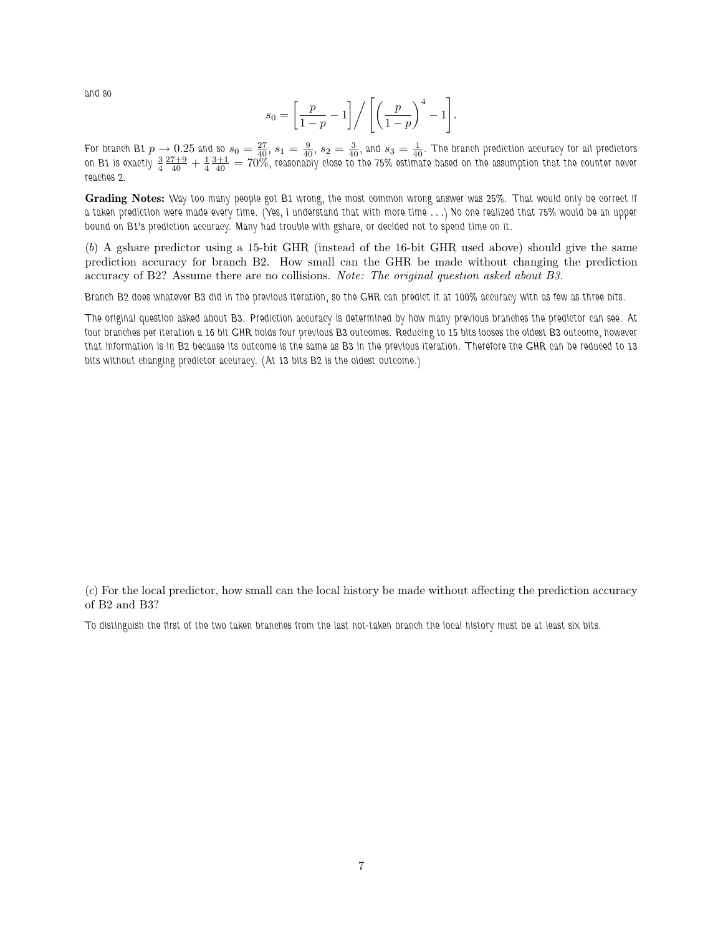*and so*

$$
s_0 = \left[\frac{p}{1-p} - 1\right] \bigg/ \left[\left(\frac{p}{1-p}\right)^4 - 1\right].
$$

For branch B1  $p \rightarrow 0.25$  and so  $s_0 = \frac{27}{40}$ ,  $s_1 = \frac{9}{40}$ ,  $s_2 = \frac{3}{40}$ , and  $s_3 = \frac{1}{40}$ . The branch prediction accuracy for all predictors on B1 is exactly  $\frac{3}{4} \frac{27+9}{40}+\frac{1}{4} \frac{3+1}{40}=70\%$ , reasonably close to the 75% estimate based on the assumption that the counter never *reaches 2.*

**Grading Notes:** *Way too many people got B1 wrong, the most common wrong answer was 25%. That would only be correct if a taken prediction were made every time. (Yes, I understand that with more time* ...*) No one realized that 75% would be an upper bound on B1's prediction accuracy. Many had trouble with gshare, or decided not to spend time on it.*

(b) A gshare predictor using a 15-bit GHR (instead of the 16-bit GHR used above) should give the same prediction accuracy for branch B2. How small can the GHR be made without changing the prediction accuracy of B2? Assume there are no collisions. Note: The original question asked about B3.

*Branch B2 does whatever B3 did in the previous iteration, so the GHR can predict it at 100% accuracy with as few as three bits.*

*The original question asked about B3. Prediction accuracy is determined by how many previous branches the predictor can see. At four branches per iteration a 16 bit GHR holds four previous B3 outcomes. Reducing to 15 bits looses the oldest B3 outcome, however that information is in B2 because its outcome is the same as B3 in the previous iteration. Therefore the GHR can be reduced to 13 bits without changing predictor accuracy. (At 13 bits B2 is the oldest outcome.)*

(c) For the local predictor, how small can the local history be made without affecting the prediction accuracy of B2 and B3?

*To distinguish the first of the two taken branches from the last not-taken branch the local history must be at least six bits.*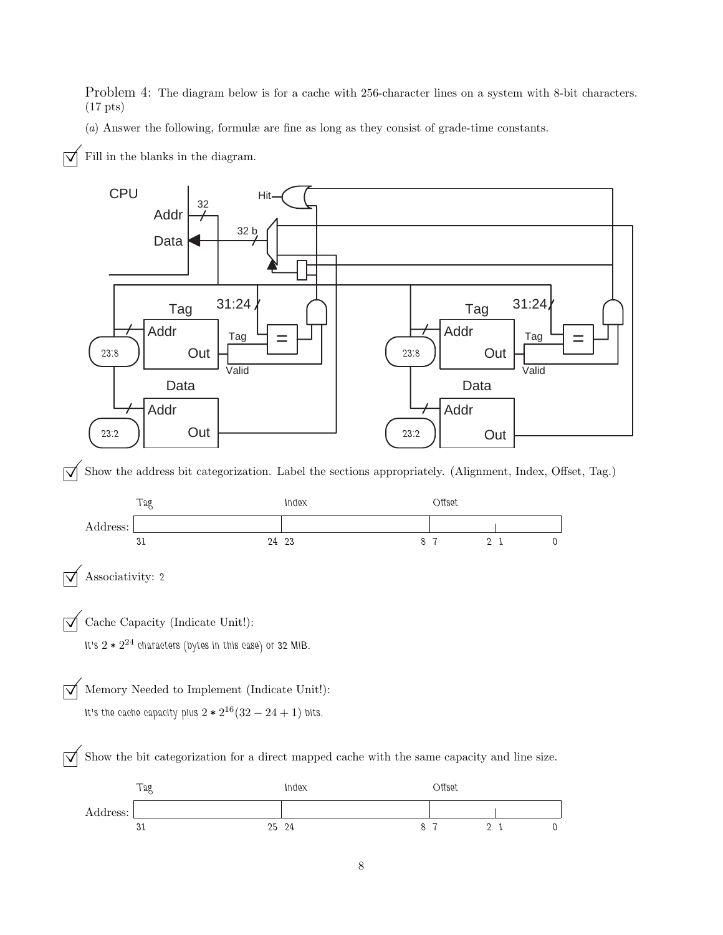Problem 4: The diagram below is for a cache with 256-character lines on a system with 8-bit characters. (17 pts)

(a) Answer the following, formulæ are fine as long as they consist of grade-time constants.

 $\overrightarrow{v}$  Fill in the blanks in the diagram.

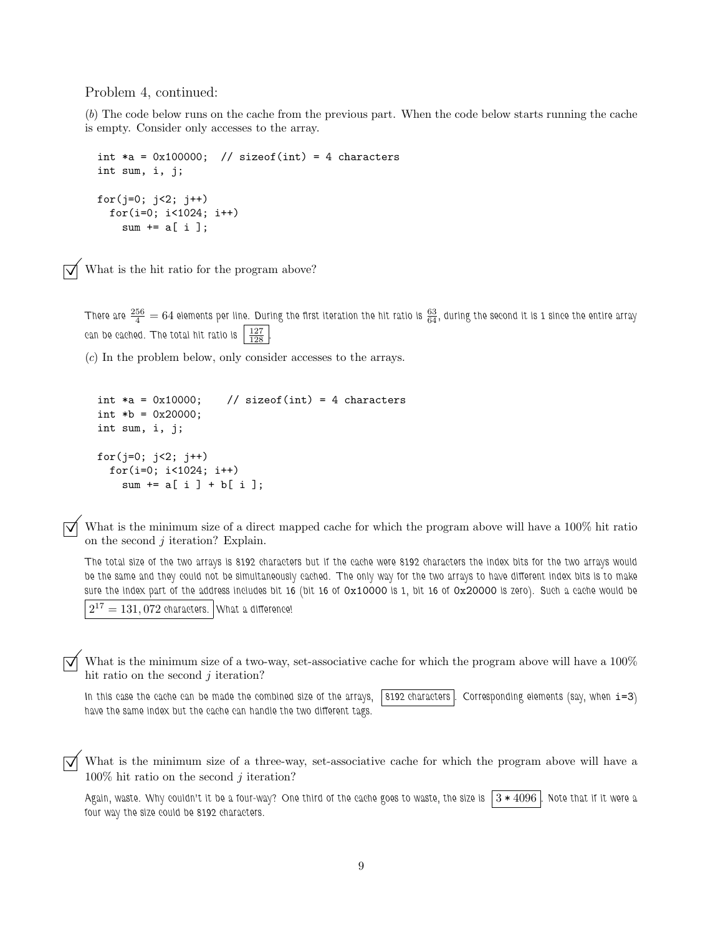Problem 4, continued:

(b) The code below runs on the cache from the previous part. When the code below starts running the cache is empty. Consider only accesses to the array.

```
int *a = 0x100000; // sizeof(int) = 4 characters
int sum, i, j;
for(j=0; j<2; j++)
 for(i=0; i<1024; i++)
    sum += a[i];
```
 $\triangledown$  What is the hit ratio for the program above?

There are  $\frac{256}{4} = 64$  elements per lin<u>e. Dur</u>ing the first iteration the hit ratio is  $\frac{63}{64}$ , during the second it is 1 since the entire array can be cached. The total hit ratio is  $\frac{127}{128}$ .

(c) In the problem below, only consider accesses to the arrays.

```
int *a = 0x10000; // sizeof(int) = 4 characters
int *b = 0x20000;int sum, i, j;
for(j=0; j < 2; j++)for(i=0; i<1024; i++)
   sum += a[i] + b[i];
```
What is the minimum size of a direct mapped cache for which the program above will have a 100% hit ratio on the second  $j$  iteration? Explain.

*The total size of the two arrays is 8192 characters but if the cache were 8192 characters the index bits for the two arrays would be the same and they could not be simultaneously cached. The only way for the two arrays to have different index bits is to make sure the index part of the address includes bit 16 (bit 16 of* 0x10000 *is 1, bit 16 of* 0x20000 *is zero). Such a cache would be*

 $2^{17} = 131,072$  characters. What a difference!

What is the minimum size of a two-way, set-associative cache for which the program above will have a  $100\%$ hit ratio on the second  $j$  iteration?

*In this case the cache can be made the combined size of the arrays, 8192 characters . Corresponding elements (say, when* i=3*) have the same index but the cache can handle the two different tags.*

What is the minimum size of a three-way, set-associative cache for which the program above will have a  $100\%$  hit ratio on the second j iteration?

Again, waste. Why couldn't it be a four-way? One third of the cache goes to waste, the size is  $3 * 4096$ . Note that if it were a *four way the size could be 8192 characters.*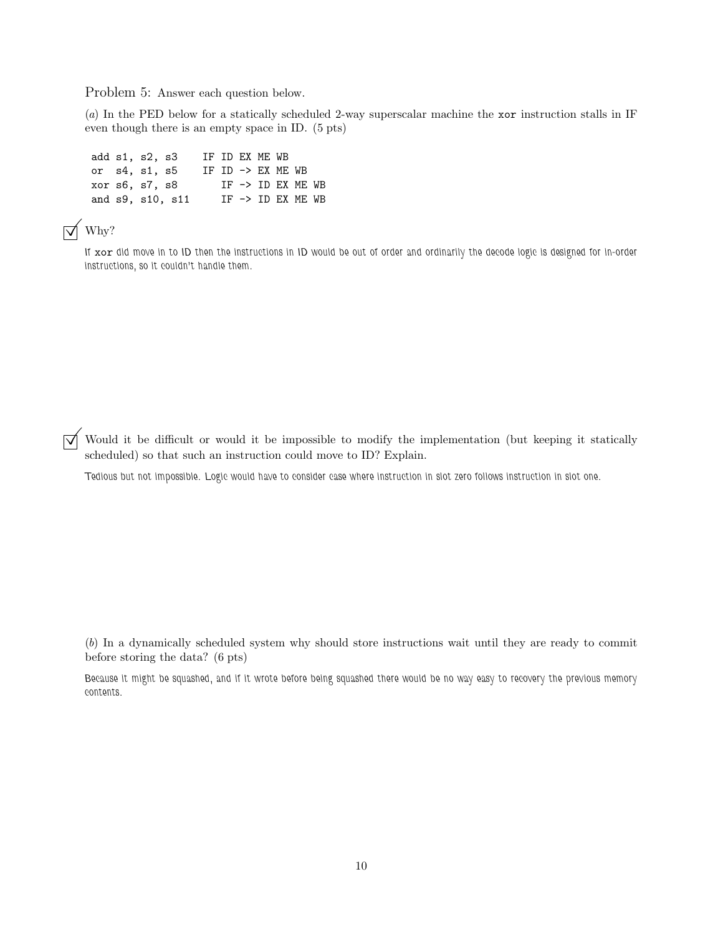Problem 5: Answer each question below.

(a) In the PED below for a statically scheduled 2-way superscalar machine the xor instruction stalls in IF even though there is an empty space in ID. (5 pts)

| add s1, s2, s3        |  |                  |  | IF ID EX ME WB               |  |                                    |  |
|-----------------------|--|------------------|--|------------------------------|--|------------------------------------|--|
| or $s4$ , $s1$ , $s5$ |  |                  |  | IF ID $\rightarrow$ EX ME WB |  |                                    |  |
| xor s6, s7, s8        |  |                  |  |                              |  | IF $\rightarrow$ ID EX ME WB       |  |
|                       |  | and s9, s10, s11 |  |                              |  | $TF \rightarrow TD$ $FX$ $MF$ . WB |  |

 $\sqrt{\sqrt{W}}$  Why?

*If* xor *did move in to ID then the instructions in ID would be out of order and ordinarily the decode logic is designed for in-order instructions, so it couldn't handle them.*

 $\sqrt{\phantom{a}}$  Would it be difficult or would it be impossible to modify the implementation (but keeping it statically scheduled) so that such an instruction could move to ID? Explain.

*Tedious but not impossible. Logic would have to consider case where instruction in slot zero follows instruction in slot one.*

(b) In a dynamically scheduled system why should store instructions wait until they are ready to commit before storing the data? (6 pts)

*Because it might be squashed, and if it wrote before being squashed there would be no way easy to recovery the previous memory contents.*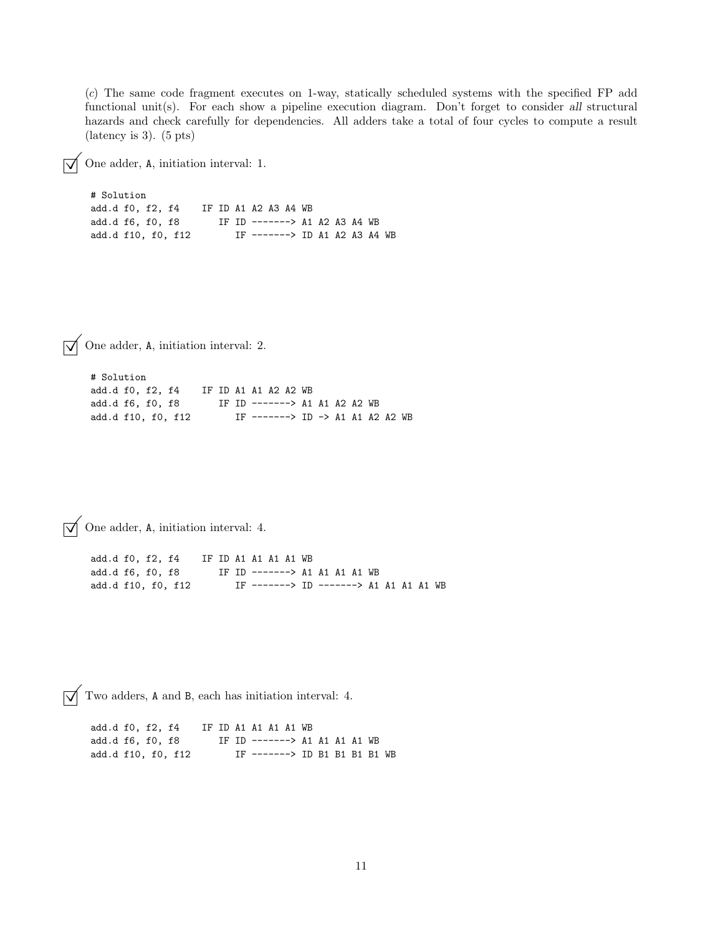(c) The same code fragment executes on 1-way, statically scheduled systems with the specified FP add functional unit(s). For each show a pipeline execution diagram. Don't forget to consider *all* structural hazards and check carefully for dependencies. All adders take a total of four cycles to compute a result (latency is 3). (5 pts)

 $\overrightarrow{\bigvee}$  One adder, A, initiation interval: 1.

# Solution add.d f0, f2, f4 IF ID A1 A2 A3 A4 WB add.d f6, f0, f8 IF ID -------> A1 A2 A3 A4 WB add.d f10, f0, f12 IF -------> ID A1 A2 A3 A4 WB

 $\overline{\bigvee}$  One adder, A, initiation interval: 2.

# Solution add.d f0, f2, f4 IF ID A1 A1 A2 A2 WB add.d f6, f0, f8 IF ID -------> A1 A1 A2 A2 WB add.d f10, f0, f12 IF -------> ID -> A1 A1 A2 A2 WB

 $\sqrt{\phantom{a}}$  One adder, A, initiation interval: 4.

| add.d f0, f2, f4   |  |  |  | IF ID A1 A1 A1 A1 WB |                               |  |  |  |                                        |
|--------------------|--|--|--|----------------------|-------------------------------|--|--|--|----------------------------------------|
| add.d f6, f0, f8   |  |  |  |                      | IF ID -------> A1 A1 A1 A1 WB |  |  |  |                                        |
| add.d f10, f0, f12 |  |  |  |                      |                               |  |  |  | IF -------> ID -------> A1 A1 A1 A1 WB |

 $\boxed{\bigvee}$  Two adders,  $\mathtt A$  and  $\mathtt B,$  each has initiation interval: 4.

| add.d f0. f2. f4   |  |  |  | IF ID A1 A1 A1 A1 WB |  |                               |  |                               |  |
|--------------------|--|--|--|----------------------|--|-------------------------------|--|-------------------------------|--|
| add.d f6. f0. f8   |  |  |  |                      |  | IF ID -------> A1 A1 A1 A1 WB |  |                               |  |
| add.d f10. f0. f12 |  |  |  |                      |  |                               |  | IF -------> ID B1 B1 B1 B1 WB |  |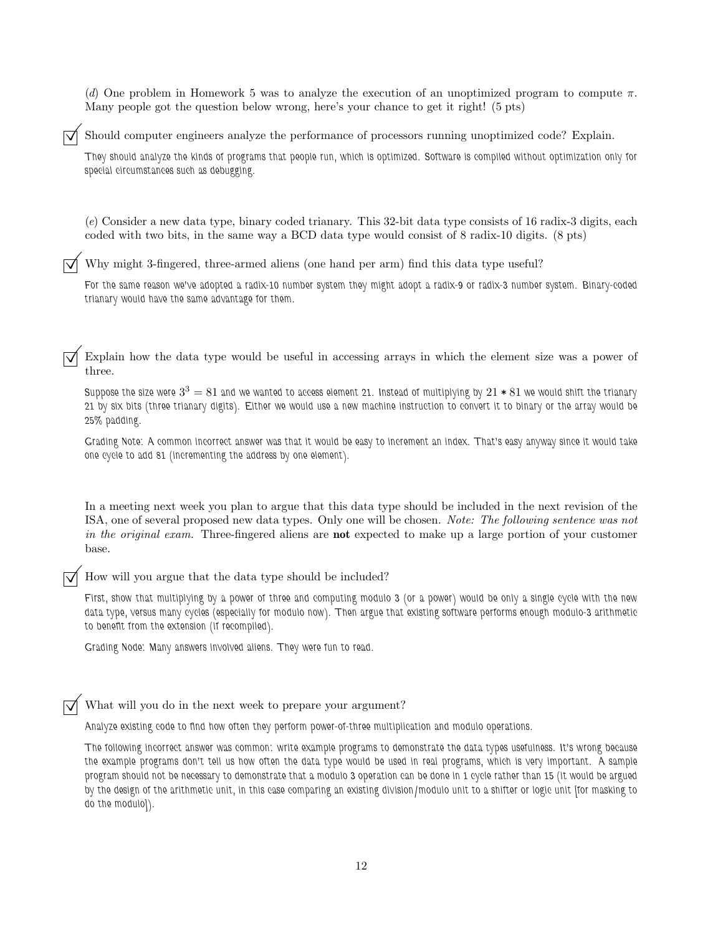(d) One problem in Homework 5 was to analyze the execution of an unoptimized program to compute  $\pi$ . Many people got the question below wrong, here's your chance to get it right! (5 pts)

Should computer engineers analyze the performance of processors running unoptimized code? Explain.

*They should analyze the kinds of programs that people run, which is optimized. Software is compiled without optimization only for special circumstances such as debugging.*

(e) Consider a new data type, binary coded trianary. This 32-bit data type consists of 16 radix-3 digits, each coded with two bits, in the same way a BCD data type would consist of 8 radix-10 digits. (8 pts)

 $\triangledown$  Why might 3-fingered, three-armed aliens (one hand per arm) find this data type useful?

*For the same reason we've adopted a radix-10 number system they might adopt a radix-9 or radix-3 number system. Binary-coded trianary would have the same advantage for them.*

©Explain how the data type would be useful in accessing arrays in which the element size was a power of three.

*Suppose the size were*  $3^3 = 81$  and we wanted to access element 21. Instead of multiplying by  $21 * 81$  we would shift the trianary *21 by six bits (three trianary digits). Either we would use a new machine instruction to convert it to binary or the array would be 25% padding.*

*Grading Note: A common incorrect answer was that it would be easy to increment an index. That's easy anyway since it would take one cycle to add 81 (incrementing the address by one element).*

In a meeting next week you plan to argue that this data type should be included in the next revision of the ISA, one of several proposed new data types. Only one will be chosen. Note: The following sentence was not in the original exam. Three-fingered aliens are **not** expected to make up a large portion of your customer base.

## How will you argue that the data type should be included?

*First, show that multiplying by a power of three and computing modulo 3 (or a power) would be only a single cycle with the new data type, versus many cycles (especially for modulo now). Then argue that existing software performs enough modulo-3 arithmetic to benefit from the extension (if recompiled).*

*Grading Node: Many answers involved aliens. They were fun to read.*

What will you do in the next week to prepare your argument?

*Analyze existing code to find how often they perform power-of-three multiplication and modulo operations.*

*The following incorrect answer was common: write example programs to demonstrate the data types usefulness. It's wrong because the example programs don't tell us how often the data type would be used in real programs, which is very important. A sample program should not be necessary to demonstrate that a modulo 3 operation can be done in 1 cycle rather than 15 (it would be argued by the design of the arithmetic unit, in this case comparing an existing division/modulo unit to a shifter or logic unit [for masking to do the modulo]).*